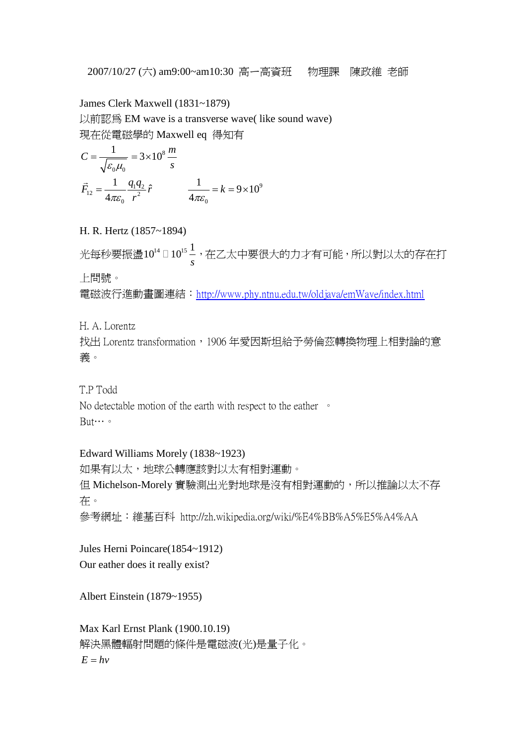2007/10/27 (六) am9:00~am10:30 高ㄧ高資班 物理課 陳政維 老師

James Clerk Maxwell (1831~1879)

以前認為 EM wave is a transverse wave( like sound wave) 現在從電磁學的 Maxwell eq 得知有

$$
C = \frac{1}{\sqrt{\varepsilon_0 \mu_0}} = 3 \times 10^8 \frac{m}{s}
$$
  

$$
\vec{F}_{12} = \frac{1}{4\pi\varepsilon_0} \frac{q_1 q_2}{r^2} \hat{r} \qquad \frac{1}{4\pi\varepsilon_0} = k = 9 \times 10^9
$$

H. R. Hertz (1857~1894)

光每秒要振盪 $10^{14}$  □  $10^{15}$   $\frac{1}{6}$ □10<sup>1s –</sup>,在乙太中要很大的力才有可能,所以對以太的存在打<br> *s* 上問號。

電磁波行進動畫圖連結:http://www.phy.ntnu.edu.tw/oldjava/emWave/index.html

H. A. Lorentz

找出 Lorentz transformation, 1906年愛因斯坦給予勞倫茲轉換物理上相對論的意 義。

T.P Todd

No detectable motion of the earth with respect to the eather <sup>o</sup> But…。

# Edward Williams Morely (1838~1923)

如果有以太,地球公轉應該對以太有相對運動。 但 Michelson-Morely 實驗測出光對地球是沒有相對運動的,所以推論以太不存 在。 參考網址:維基百科 http://zh.wikipedia.org/wiki/%E4%BB%A5%E5%A4%AA

Jules Herni Poincare(1854~1912) Our eather does it really exist?

Albert Einstein (1879~1955)

Max Karl Ernst Plank (1900.10.19) 解決黑體輻射問題的條件是電磁波(光)是量子化。  $E = hv$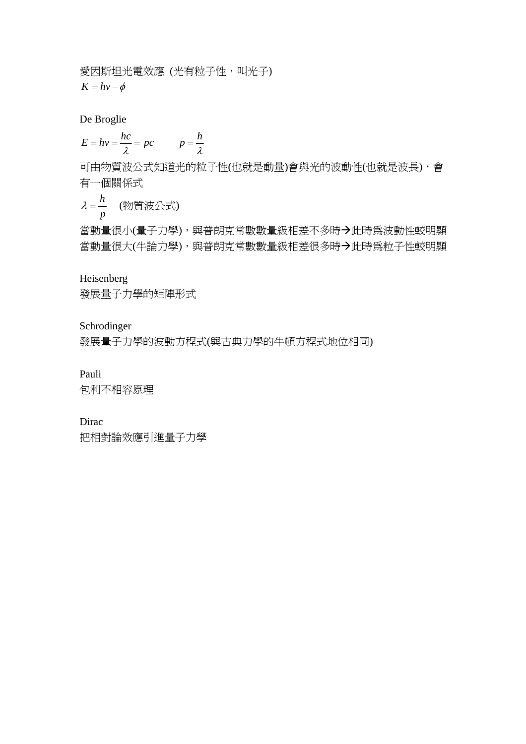愛因斯坦光電效應 (光有粒子性,叫光子)  $K = hv - \phi$ 

De Broglie

$$
E = hv = \frac{hc}{\lambda} = pc \qquad p = \frac{h}{\lambda}
$$

可由物質波公式知道光的粒子性(也就是動量)會與光的波動性(也就是波長),會 有一個關係式

$$
\lambda = \frac{h}{p} \quad (\text{Mif } \mathcal{B} \triangle \vec{x})
$$

當動量很小(量子力學),與普朗克常數數量級相差不多時→此時為波動性較明顯 當動量很大(牛論力學),與普朗克常數數量級相差很多時→此時為粒子性較明顯

#### Heisenberg

發展量子力學的矩陣形式

## Schrodinger

發展量子力學的波動方程式(與古典力學的牛頓方程式地位相同)

## Pauli

包利不相容原理

## Dirac

把相對論效應引進量子力學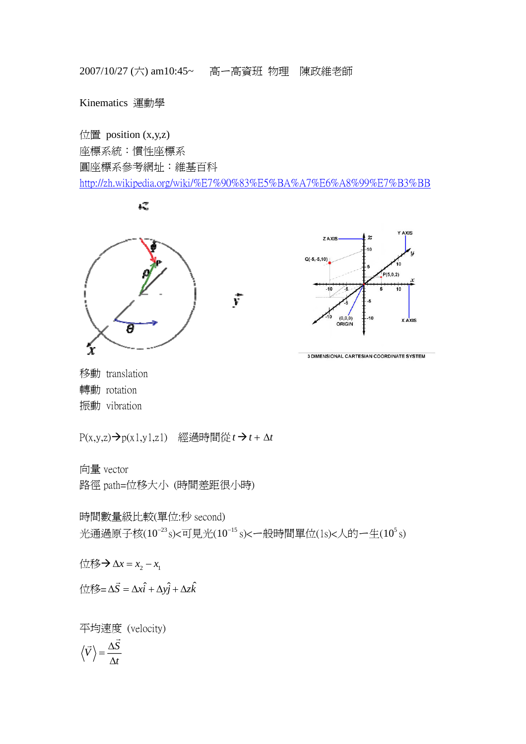2007/10/27 (六) am10:45~ 高ㄧ高資班 物理 陳政維老師

Kinematics 運動學

位置 position (x,y,z) 座標系統:慣性座標系 圓座標系參考網址:維基百科 http://zh.wikipedia.org/wiki/%E7%90%83%E5%BA%A7%E6%A8%99%E7%B3%BB

 $\iota\mathcal{Z}$ 





3 DIMENSIONAL CARTESIAN COORDINATE SYSTEM

移動 translation 轉動 rotation 振動 vibration

 $P(x,y,z) \rightarrow p(x1,y1,z1)$  經過時間從*t* → *t* + Δ*t* 

向量 vector

路徑 path=位移大小 (時間差距很小時)

時間數量級比較(單位:秒 second) 光通過原子核 $(10^{-23} s)$ <可見光 $(10^{-15} s)$ <一般時間單位 $(1s)$ <人的一生 $(10^5 s)$ 

 $x_1$   $x_2$   $x_3$   $x_4$   $x_5$   $x_6$   $x_7$ 

 ${\langle \overline{\text{12}}\text{ } \overline{\text{12}}\text{ } \overline{\text{}}\text{ } \Delta \text{ } \overline{\text{3}}\text{ } \Delta \text{ } \overline{\text{}}\text{ } \Delta \text{ } \text{ } \overline{\text{}}\text{ } \Delta \text{ } \text{ } \overline{\text{}}\text{ } \Delta \text{ } \text{ } \Delta \text{ } \overline{\text{}}\text{ } \Delta \text{ } \overline{\text{}}\text{ } \Delta \text{ } \overline{\text{}}\text{ } \Delta \text{ } \overline{\text{}}\text{ } \Delta \text{ } \overline{\text{}}\text{ } \Delta \text{ } \over$ 

平均速度 (velocity)

$$
\left\langle \vec{V}\right\rangle =\frac{\Delta \vec{S}}{\Delta t}
$$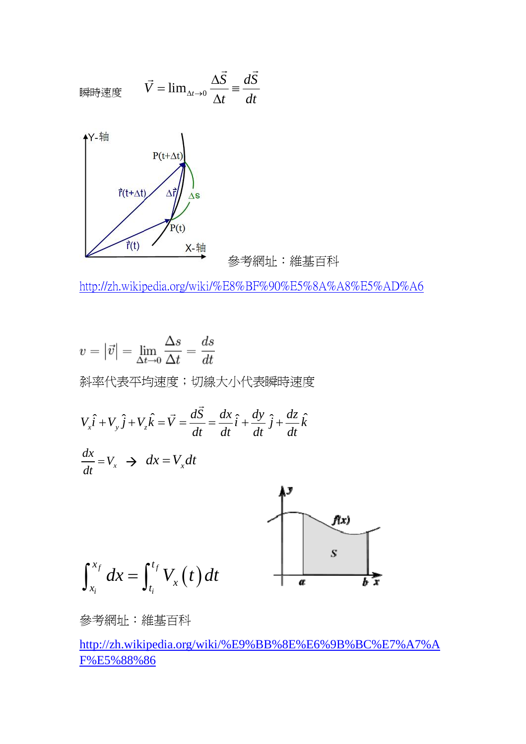

http://zh.wikipedia.org/wiki/%E8%BF%90%E5%8A%A8%E5%AD%A6

$$
v = |\vec{v}| = \lim_{\Delta t \to 0} \frac{\Delta s}{\Delta t} = \frac{ds}{dt}
$$
  
\n
$$
\text{max}(\overline{z}) = \frac{ds}{dt} \text{maximize } \overline{z} = \frac{ds}{dt}
$$
  
\n
$$
V_x \hat{i} + V_y \hat{j} + V_z \hat{k} = \overline{v} = \frac{d\overline{S}}{dt} = \frac{dx}{dt} \hat{i} + \frac{dy}{dt} \hat{j} + \frac{dz}{dt} \hat{k}
$$
  
\n
$$
\frac{dx}{dt} = V_x \implies dx = V_x dt
$$
  
\n
$$
\int_{x_i}^{x_f} dx = \int_{t_i}^{t_f} V_x(t) dt
$$

參考網址:維基百科

http://zh.wikipedia.org/wiki/%E9%BB%8E%E6%9B%BC%E7%A7%A F%E5%88%86